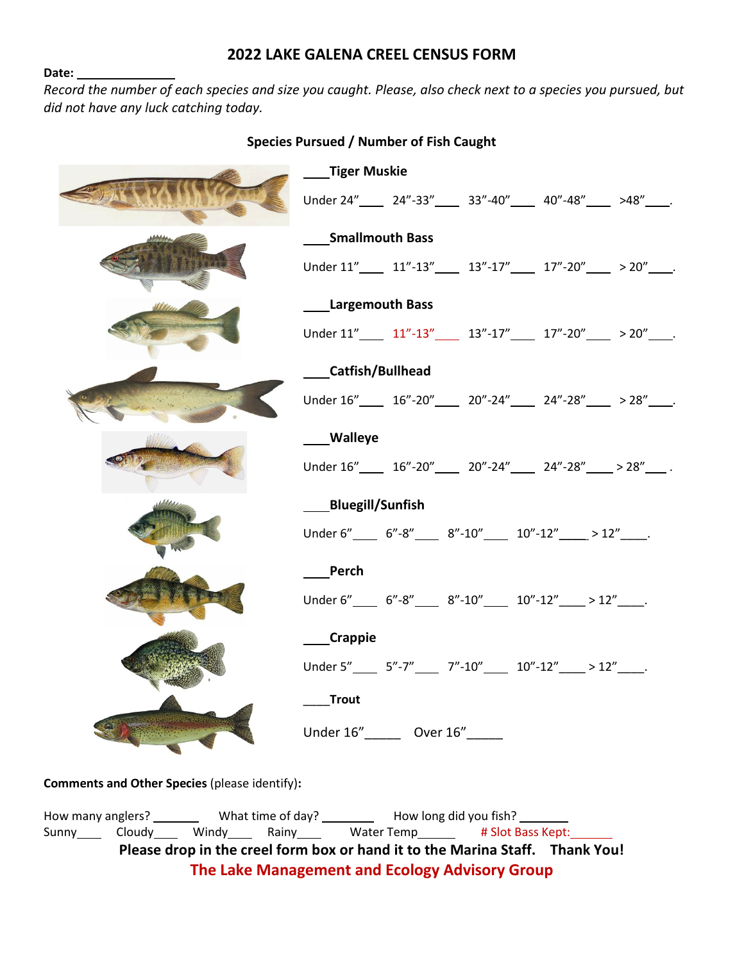### **2022 LAKE GALENA CREEL CENSUS FORM**

#### **Date:**

*Record the number of each species and size you caught. Please, also check next to a species you pursued, but did not have any luck catching today.*

|                         | ____Tiger Muskie                                                                               |  |
|-------------------------|------------------------------------------------------------------------------------------------|--|
|                         | Under 24"_____ 24"-33"_____ 33"-40"____ 40"-48"____ >48"____.                                  |  |
|                         | <b>Smallmouth Bass</b>                                                                         |  |
|                         | Under $11''$ 11"-13" 13"-17" 17"-20" > 20".                                                    |  |
| <b>Largemouth Bass</b>  |                                                                                                |  |
|                         | Under $11''$ $11''$ - $13''$ $13''$ - $17''$ $17''$ - $20''$ $>$ $20''$ .                      |  |
| <b>Catfish/Bullhead</b> |                                                                                                |  |
|                         | Under $16''$ ______ $16'' - 20''$ _____ $20'' - 24''$ _____ $24'' - 28''$ _____ $> 28''$ ____. |  |
| <b>Walleye</b>          |                                                                                                |  |
|                         | Under $16''$ ______ $16'' - 20''$ _____ $20'' - 24''$ _____ $24'' - 28''$ _____ > $28''$ ____. |  |
|                         | <b>Bluegill/Sunfish</b>                                                                        |  |
|                         | Under 6"______ 6"-8"______ 8"-10"______ 10"-12"_____>12"_____.                                 |  |
|                         | Perch                                                                                          |  |
|                         | Under 6"______ 6"-8"______ 8"-10"______ 10"-12"_____>12"_____.                                 |  |
| ___Crappie              |                                                                                                |  |
|                         | Under 5"_______ 5"-7"______ 7"-10"______ 10"-12"_____>12"_____.                                |  |
|                         | <b>Trout</b>                                                                                   |  |
|                         | Under 16" ______ Over 16" _____                                                                |  |

#### **Species Pursued / Number of Fish Caught**

**Comments and Other Species** (please identify)**:**

How many anglers? \_\_\_\_\_\_\_\_\_\_ What time of day? \_\_\_\_\_\_\_\_\_\_\_ How long did you fish? \_\_\_\_\_\_\_\_ Sunny Cloudy Windy Rainy Water Temp # Slot Bass Kept: **Please drop in the creel form box or hand it to the Marina Staff. Thank You! The Lake Management and Ecology Advisory Group**